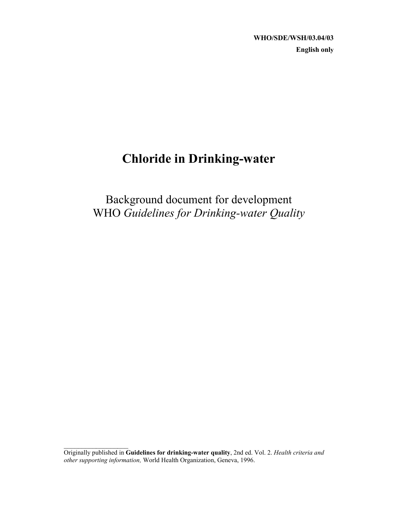**WHO/SDE/WSH/03.04/03 English only**

# **Chloride in Drinking-water**

Background document for development WHO *Guidelines for Drinking-water Quality*

 $\mathcal{L}_\text{max}$ 

Originally published in **Guidelines for drinking-water quality**, 2nd ed. Vol. 2. *Health criteria and other supporting information,* World Health Organization, Geneva, 1996.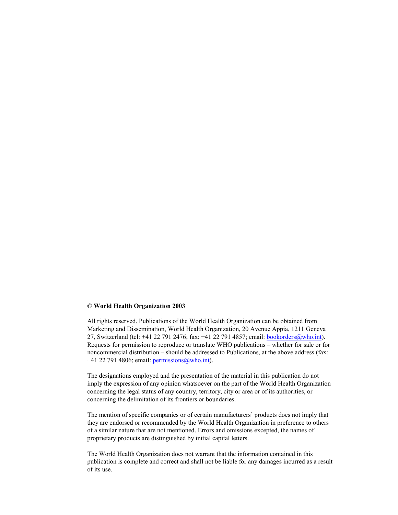#### **© World Health Organization 2003**

All rights reserved. Publications of the World Health Organization can be obtained from Marketing and Dissemination, World Health Organization, 20 Avenue Appia, 1211 Geneva 27, Switzerland (tel: +41 22 791 2476; fax: +41 22 791 4857; email: bookorders@who.int). Requests for permission to reproduce or translate WHO publications – whether for sale or for noncommercial distribution – should be addressed to Publications, at the above address (fax: +41 22 791 4806; email:  $\frac{\text{permissions}(a, \text{who.int})}{\text{permissions}(a, \text{who.int})}$ .

The designations employed and the presentation of the material in this publication do not imply the expression of any opinion whatsoever on the part of the World Health Organization concerning the legal status of any country, territory, city or area or of its authorities, or concerning the delimitation of its frontiers or boundaries.

The mention of specific companies or of certain manufacturers' products does not imply that they are endorsed or recommended by the World Health Organization in preference to others of a similar nature that are not mentioned. Errors and omissions excepted, the names of proprietary products are distinguished by initial capital letters.

The World Health Organization does not warrant that the information contained in this publication is complete and correct and shall not be liable for any damages incurred as a result of its use.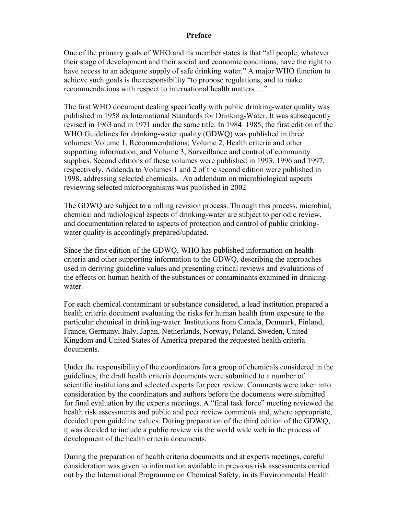### **Preface**

One of the primary goals of WHO and its member states is that "all people, whatever their stage of development and their social and economic conditions, have the right to have access to an adequate supply of safe drinking water." A major WHO function to achieve such goals is the responsibility "to propose regulations, and to make recommendations with respect to international health matters ...."

The first WHO document dealing specifically with public drinking-water quality was published in 1958 as International Standards for Drinking-Water. It was subsequently revised in 1963 and in 1971 under the same title. In 1984–1985, the first edition of the WHO Guidelines for drinking-water quality (GDWQ) was published in three volumes: Volume 1, Recommendations; Volume 2, Health criteria and other supporting information; and Volume 3, Surveillance and control of community supplies. Second editions of these volumes were published in 1993, 1996 and 1997, respectively. Addenda to Volumes 1 and 2 of the second edition were published in 1998, addressing selected chemicals. An addendum on microbiological aspects reviewing selected microorganisms was published in 2002.

The GDWQ are subject to a rolling revision process. Through this process, microbial, chemical and radiological aspects of drinking-water are subject to periodic review, and documentation related to aspects of protection and control of public drinkingwater quality is accordingly prepared/updated.

Since the first edition of the GDWQ, WHO has published information on health criteria and other supporting information to the GDWQ, describing the approaches used in deriving guideline values and presenting critical reviews and evaluations of the effects on human health of the substances or contaminants examined in drinkingwater.

For each chemical contaminant or substance considered, a lead institution prepared a health criteria document evaluating the risks for human health from exposure to the particular chemical in drinking-water. Institutions from Canada, Denmark, Finland, France, Germany, Italy, Japan, Netherlands, Norway, Poland, Sweden, United Kingdom and United States of America prepared the requested health criteria documents.

Under the responsibility of the coordinators for a group of chemicals considered in the guidelines, the draft health criteria documents were submitted to a number of scientific institutions and selected experts for peer review. Comments were taken into consideration by the coordinators and authors before the documents were submitted for final evaluation by the experts meetings. A "final task force" meeting reviewed the health risk assessments and public and peer review comments and, where appropriate, decided upon guideline values. During preparation of the third edition of the GDWQ, it was decided to include a public review via the world wide web in the process of development of the health criteria documents.

During the preparation of health criteria documents and at experts meetings, careful consideration was given to information available in previous risk assessments carried out by the International Programme on Chemical Safety, in its Environmental Health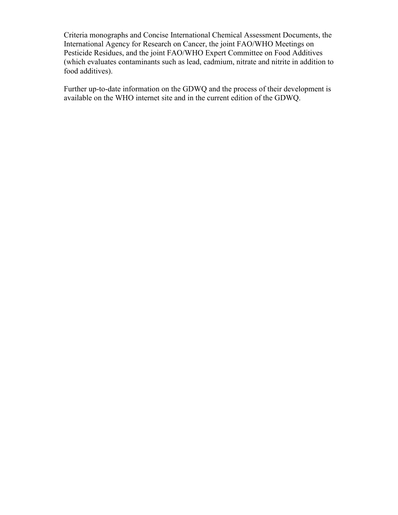Criteria monographs and Concise International Chemical Assessment Documents, the International Agency for Research on Cancer, the joint FAO/WHO Meetings on Pesticide Residues, and the joint FAO/WHO Expert Committee on Food Additives (which evaluates contaminants such as lead, cadmium, nitrate and nitrite in addition to food additives).

Further up-to-date information on the GDWQ and the process of their development is available on the WHO internet site and in the current edition of the GDWQ.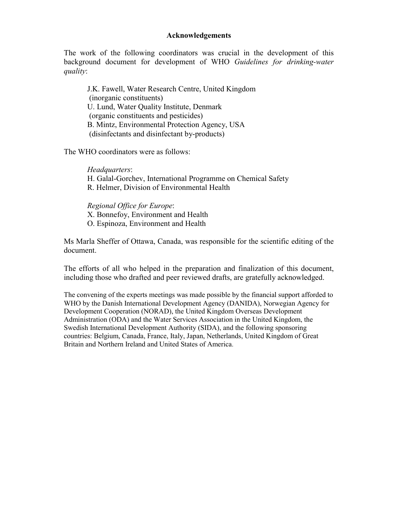## **Acknowledgements**

The work of the following coordinators was crucial in the development of this background document for development of WHO *Guidelines for drinking-water quality*:

J.K. Fawell, Water Research Centre, United Kingdom (inorganic constituents) U. Lund, Water Quality Institute, Denmark (organic constituents and pesticides) B. Mintz, Environmental Protection Agency, USA (disinfectants and disinfectant by-products)

The WHO coordinators were as follows:

*Headquarters*: H. Galal-Gorchev, International Programme on Chemical Safety R. Helmer, Division of Environmental Health

*Regional Office for Europe*: X. Bonnefoy, Environment and Health O. Espinoza, Environment and Health

Ms Marla Sheffer of Ottawa, Canada, was responsible for the scientific editing of the document.

The efforts of all who helped in the preparation and finalization of this document, including those who drafted and peer reviewed drafts, are gratefully acknowledged.

The convening of the experts meetings was made possible by the financial support afforded to WHO by the Danish International Development Agency (DANIDA), Norwegian Agency for Development Cooperation (NORAD), the United Kingdom Overseas Development Administration (ODA) and the Water Services Association in the United Kingdom, the Swedish International Development Authority (SIDA), and the following sponsoring countries: Belgium, Canada, France, Italy, Japan, Netherlands, United Kingdom of Great Britain and Northern Ireland and United States of America.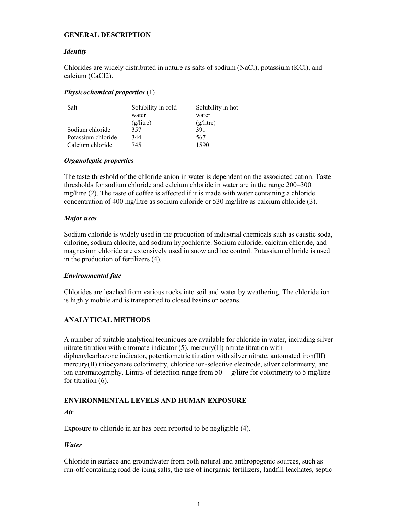#### **GENERAL DESCRIPTION**

#### *Identity*

Chlorides are widely distributed in nature as salts of sodium (NaCl), potassium (KCl), and calcium (CaCl2).

#### *Physicochemical properties* (1)

| Salt               | Solubility in cold | Solubility in hot |
|--------------------|--------------------|-------------------|
|                    | water              | water             |
|                    | (g/litre)          | (g/litre)         |
| Sodium chloride    | 357                | 391               |
| Potassium chloride | 344                | 567               |
| Calcium chloride   | 745                | 1590              |

#### *Organoleptic properties*

The taste threshold of the chloride anion in water is dependent on the associated cation. Taste thresholds for sodium chloride and calcium chloride in water are in the range 200–300 mg/litre (2). The taste of coffee is affected if it is made with water containing a chloride concentration of 400 mg/litre as sodium chloride or 530 mg/litre as calcium chloride (3).

#### *Major uses*

Sodium chloride is widely used in the production of industrial chemicals such as caustic soda, chlorine, sodium chlorite, and sodium hypochlorite. Sodium chloride, calcium chloride, and magnesium chloride are extensively used in snow and ice control. Potassium chloride is used in the production of fertilizers (4).

#### *Environmental fate*

Chlorides are leached from various rocks into soil and water by weathering. The chloride ion is highly mobile and is transported to closed basins or oceans.

## **ANALYTICAL METHODS**

A number of suitable analytical techniques are available for chloride in water, including silver nitrate titration with chromate indicator (5), mercury(II) nitrate titration with diphenylcarbazone indicator, potentiometric titration with silver nitrate, automated iron(III) mercury(II) thiocyanate colorimetry, chloride ion-selective electrode, silver colorimetry, and ion chromatography. Limits of detection range from 50 g/litre for colorimetry to 5 mg/litre for titration  $(6)$ .

#### **ENVIRONMENTAL LEVELS AND HUMAN EXPOSURE**

#### *Air*

Exposure to chloride in air has been reported to be negligible (4).

#### *Water*

Chloride in surface and groundwater from both natural and anthropogenic sources, such as run-off containing road de-icing salts, the use of inorganic fertilizers, landfill leachates, septic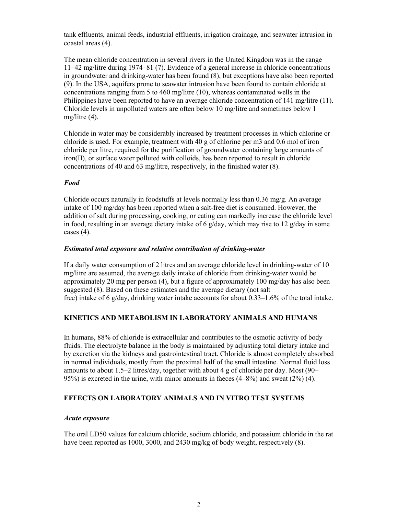tank effluents, animal feeds, industrial effluents, irrigation drainage, and seawater intrusion in coastal areas (4).

The mean chloride concentration in several rivers in the United Kingdom was in the range 11–42 mg/litre during 1974–81 (7). Evidence of a general increase in chloride concentrations in groundwater and drinking-water has been found (8), but exceptions have also been reported (9). In the USA, aquifers prone to seawater intrusion have been found to contain chloride at concentrations ranging from 5 to 460 mg/litre (10), whereas contaminated wells in the Philippines have been reported to have an average chloride concentration of 141 mg/litre (11). Chloride levels in unpolluted waters are often below 10 mg/litre and sometimes below 1 mg/litre (4).

Chloride in water may be considerably increased by treatment processes in which chlorine or chloride is used. For example, treatment with 40 g of chlorine per m3 and 0.6 mol of iron chloride per litre, required for the purification of groundwater containing large amounts of iron(II), or surface water polluted with colloids, has been reported to result in chloride concentrations of 40 and 63 mg/litre, respectively, in the finished water (8).

#### *Food*

Chloride occurs naturally in foodstuffs at levels normally less than 0.36 mg/g. An average intake of 100 mg/day has been reported when a salt-free diet is consumed. However, the addition of salt during processing, cooking, or eating can markedly increase the chloride level in food, resulting in an average dietary intake of 6  $g$ /day, which may rise to 12  $g$ /day in some cases (4).

#### *Estimated total exposure and relative contribution of drinking-water*

If a daily water consumption of 2 litres and an average chloride level in drinking-water of 10 mg/litre are assumed, the average daily intake of chloride from drinking-water would be approximately 20 mg per person (4), but a figure of approximately 100 mg/day has also been suggested (8). Based on these estimates and the average dietary (not salt free) intake of 6 g/day, drinking water intake accounts for about 0.33–1.6% of the total intake.

#### **KINETICS AND METABOLISM IN LABORATORY ANIMALS AND HUMANS**

In humans, 88% of chloride is extracellular and contributes to the osmotic activity of body fluids. The electrolyte balance in the body is maintained by adjusting total dietary intake and by excretion via the kidneys and gastrointestinal tract. Chloride is almost completely absorbed in normal individuals, mostly from the proximal half of the small intestine. Normal fluid loss amounts to about 1.5–2 litres/day, together with about 4 g of chloride per day. Most (90– 95%) is excreted in the urine, with minor amounts in faeces (4–8%) and sweat (2%) (4).

## **EFFECTS ON LABORATORY ANIMALS AND IN VITRO TEST SYSTEMS**

#### *Acute exposure*

The oral LD50 values for calcium chloride, sodium chloride, and potassium chloride in the rat have been reported as 1000, 3000, and 2430 mg/kg of body weight, respectively (8).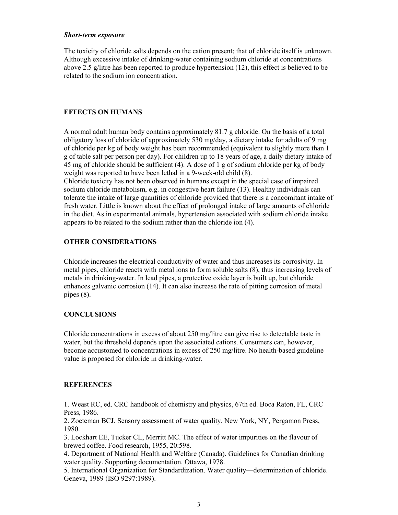#### *Short-term exposure*

The toxicity of chloride salts depends on the cation present; that of chloride itself is unknown. Although excessive intake of drinking-water containing sodium chloride at concentrations above 2.5 g/litre has been reported to produce hypertension (12), this effect is believed to be related to the sodium ion concentration.

## **EFFECTS ON HUMANS**

A normal adult human body contains approximately 81.7 g chloride. On the basis of a total obligatory loss of chloride of approximately 530 mg/day, a dietary intake for adults of 9 mg of chloride per kg of body weight has been recommended (equivalent to slightly more than 1 g of table salt per person per day). For children up to 18 years of age, a daily dietary intake of 45 mg of chloride should be sufficient (4). A dose of 1 g of sodium chloride per kg of body weight was reported to have been lethal in a 9-week-old child (8).

Chloride toxicity has not been observed in humans except in the special case of impaired sodium chloride metabolism, e.g. in congestive heart failure (13). Healthy individuals can tolerate the intake of large quantities of chloride provided that there is a concomitant intake of fresh water. Little is known about the effect of prolonged intake of large amounts of chloride in the diet. As in experimental animals, hypertension associated with sodium chloride intake appears to be related to the sodium rather than the chloride ion (4).

## **OTHER CONSIDERATIONS**

Chloride increases the electrical conductivity of water and thus increases its corrosivity. In metal pipes, chloride reacts with metal ions to form soluble salts (8), thus increasing levels of metals in drinking-water. In lead pipes, a protective oxide layer is built up, but chloride enhances galvanic corrosion (14). It can also increase the rate of pitting corrosion of metal pipes (8).

## **CONCLUSIONS**

Chloride concentrations in excess of about 250 mg/litre can give rise to detectable taste in water, but the threshold depends upon the associated cations. Consumers can, however, become accustomed to concentrations in excess of 250 mg/litre. No health-based guideline value is proposed for chloride in drinking-water.

## **REFERENCES**

1. Weast RC, ed. CRC handbook of chemistry and physics, 67th ed. Boca Raton, FL, CRC Press, 1986.

2. Zoeteman BCJ. Sensory assessment of water quality. New York, NY, Pergamon Press, 1980.

3. Lockhart EE, Tucker CL, Merritt MC. The effect of water impurities on the flavour of brewed coffee. Food research, 1955, 20:598.

4. Department of National Health and Welfare (Canada). Guidelines for Canadian drinking water quality. Supporting documentation. Ottawa, 1978.

5. International Organization for Standardization. Water quality—determination of chloride. Geneva, 1989 (ISO 9297:1989).